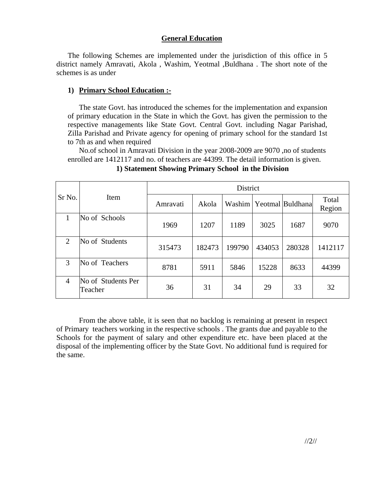## **General Education**

The following Schemes are implemented under the jurisdiction of this office in 5 district namely Amravati, Akola , Washim, Yeotmal ,Buldhana . The short note of the schemes is as under

# **1) Primary School Education :-**

The state Govt. has introduced the schemes for the implementation and expansion of primary education in the State in which the Govt. has given the permission to the respective managements like State Govt. Central Govt. including Nagar Parishad, Zilla Parishad and Private agency for opening of primary school for the standard 1st to 7th as and when required

No.of school in Amravati Division in the year 2008-2009 are 9070 ,no of students enrolled are 1412117 and no. of teachers are 44399. The detail information is given.

| Sr No.         | Item                          | District |        |        |        |                  |                 |  |
|----------------|-------------------------------|----------|--------|--------|--------|------------------|-----------------|--|
|                |                               | Amravati | Akola  | Washim |        | Yeotmal Buldhana | Total<br>Region |  |
| 1              | No of Schools                 | 1969     | 1207   | 1189   | 3025   | 1687             | 9070            |  |
| 2              | No of Students                | 315473   | 182473 | 199790 | 434053 | 280328           | 1412117         |  |
| 3              | No of Teachers                | 8781     | 5911   | 5846   | 15228  | 8633             | 44399           |  |
| $\overline{4}$ | No of Students Per<br>Teacher | 36       | 31     | 34     | 29     | 33               | 32              |  |

**1) Statement Showing Primary School in the Division** 

From the above table, it is seen that no backlog is remaining at present in respect of Primary teachers working in the respective schools . The grants due and payable to the Schools for the payment of salary and other expenditure etc. have been placed at the disposal of the implementing officer by the State Govt. No additional fund is required for the same.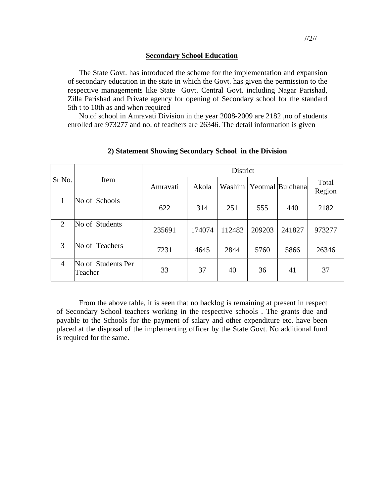#### **Secondary School Education**

The State Govt. has introduced the scheme for the implementation and expansion of secondary education in the state in which the Govt. has given the permission to the respective managements like State Govt. Central Govt. including Nagar Parishad, Zilla Parishad and Private agency for opening of Secondary school for the standard 5th t to 10th as and when required

No.of school in Amravati Division in the year 2008-2009 are 2182 ,no of students enrolled are 973277 and no. of teachers are 26346. The detail information is given

| Sr No.         | Item                          | <b>District</b> |        |        |        |                  |                 |  |
|----------------|-------------------------------|-----------------|--------|--------|--------|------------------|-----------------|--|
|                |                               | Amravati        | Akola  | Washim |        | Yeotmal Buldhana | Total<br>Region |  |
| 1              | No of Schools                 | 622             | 314    | 251    | 555    | 440              | 2182            |  |
| $\overline{2}$ | No of Students                | 235691          | 174074 | 112482 | 209203 | 241827           | 973277          |  |
| 3              | No of Teachers                | 7231            | 4645   | 2844   | 5760   | 5866             | 26346           |  |
| $\overline{4}$ | No of Students Per<br>Teacher | 33              | 37     | 40     | 36     | 41               | 37              |  |

### **2) Statement Showing Secondary School in the Division**

From the above table, it is seen that no backlog is remaining at present in respect of Secondary School teachers working in the respective schools . The grants due and payable to the Schools for the payment of salary and other expenditure etc. have been placed at the disposal of the implementing officer by the State Govt. No additional fund is required for the same.